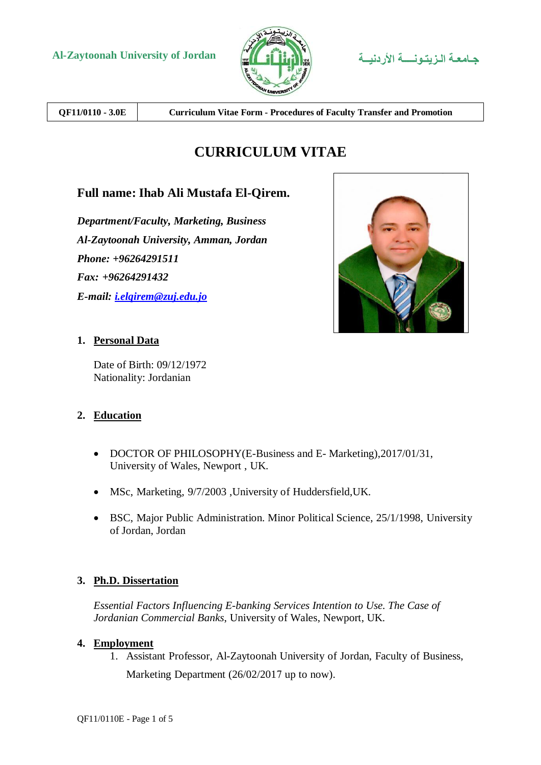



**QF11/0110 - 3.0E Curriculum Vitae Form - Procedures of Faculty Transfer and Promotion**

# **CURRICULUM VITAE**

# **Full name: Ihab Ali Mustafa El-Qirem.**

*Department/Faculty, Marketing, Business Al-Zaytoonah University, Amman, Jordan Phone: +96264291511 Fax: +96264291432 E-mail: [i.elqirem@zuj.edu.jo](mailto:i.elqirem@zuj.edu.jo)*



### **1. Personal Data**

Date of Birth: 09/12/1972 Nationality: Jordanian

### **2. Education**

- DOCTOR OF PHILOSOPHY(E-Business and E-Marketing), 2017/01/31, University of Wales, Newport , UK.
- MSc, Marketing, 9/7/2003 ,University of Huddersfield,UK.
- BSC, Major Public Administration. Minor Political Science, 25/1/1998, University of Jordan, Jordan

# **3. Ph.D. Dissertation**

*Essential Factors Influencing E-banking Services Intention to Use. The Case of Jordanian Commercial Banks*, University of Wales, Newport, UK.

### **4. Employment**

1. Assistant Professor, Al-Zaytoonah University of Jordan, Faculty of Business, Marketing Department (26/02/2017 up to now).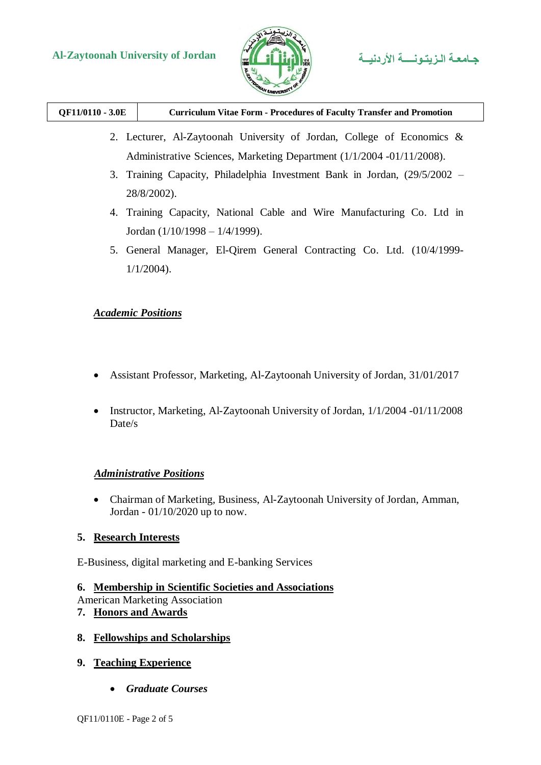

| QF11/0110 - 3.0E | <b>Curriculum Vitae Form - Procedures of Faculty Transfer and Promotion</b> |
|------------------|-----------------------------------------------------------------------------|
|------------------|-----------------------------------------------------------------------------|

- 2. Lecturer, Al-Zaytoonah University of Jordan, College of Economics & Administrative Sciences, Marketing Department (1/1/2004 -01/11/2008).
- 3. Training Capacity, Philadelphia Investment Bank in Jordan, (29/5/2002 28/8/2002).
- 4. Training Capacity, National Cable and Wire Manufacturing Co. Ltd in Jordan (1/10/1998 – 1/4/1999).
- 5. General Manager, El-Qirem General Contracting Co. Ltd. (10/4/1999- 1/1/2004).

### *Academic Positions*

- Assistant Professor, Marketing, Al-Zaytoonah University of Jordan, 31/01/2017
- Instructor, Marketing, Al-Zaytoonah University of Jordan, 1/1/2004 -01/11/2008 Date/s

# *Administrative Positions*

 Chairman of Marketing, Business, Al-Zaytoonah University of Jordan, Amman, Jordan - 01/10/2020 up to now.

### **5. Research Interests**

E-Business, digital marketing and E-banking Services

### **6. Membership in Scientific Societies and Associations**

American Marketing Association

**7. Honors and Awards**

### **8. Fellowships and Scholarships**

### **9. Teaching Experience**

*Graduate Courses*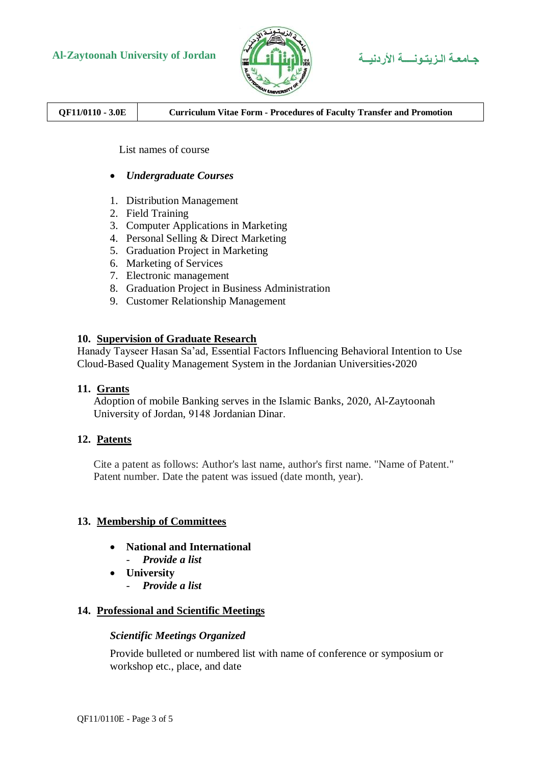

**Al-Zaytoonah University of Jordan األردنيــة الـزيتـونــــة جـامعـة**

**QF11/0110 - 3.0E Curriculum Vitae Form - Procedures of Faculty Transfer and Promotion**

List names of course

- *Undergraduate Courses*
- 1. Distribution Management
- 2. Field Training
- 3. Computer Applications in Marketing
- 4. Personal Selling & Direct Marketing
- 5. Graduation Project in Marketing
- 6. Marketing of Services
- 7. Electronic management
- 8. Graduation Project in Business Administration
- 9. Customer Relationship Management

#### **10. Supervision of Graduate Research**

Hanady Tayseer Hasan Sa'ad, Essential Factors Influencing Behavioral Intention to Use Cloud-Based Quality Management System in the Jordanian Universities،2020

### **11. Grants**

Adoption of mobile Banking serves in the Islamic Banks, 2020, Al-Zaytoonah University of Jordan, 9148 Jordanian Dinar.

### **12. Patents**

Cite a patent as follows: Author's last name, author's first name. "Name of Patent." Patent number. Date the patent was issued (date month, year).

### **13. Membership of Committees**

- **National and International** - *Provide a list*
- **University**
	- *Provide a list*

### **14. Professional and Scientific Meetings**

#### *Scientific Meetings Organized*

Provide bulleted or numbered list with name of conference or symposium or workshop etc., place, and date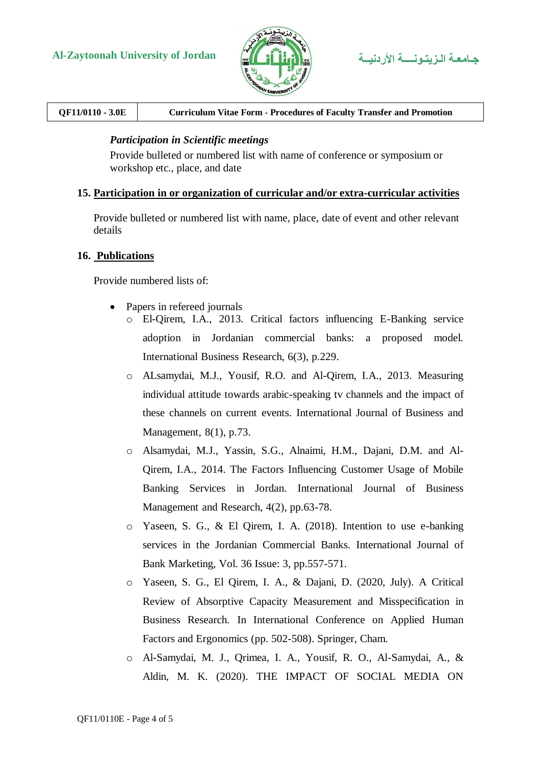

| QF11/0110 - 3.0E | <b>Curriculum Vitae Form - Procedures of Faculty Transfer and Promotion</b> |
|------------------|-----------------------------------------------------------------------------|
|                  |                                                                             |

#### *Participation in Scientific meetings*

Provide bulleted or numbered list with name of conference or symposium or workshop etc., place, and date

#### **15. Participation in or organization of curricular and/or extra-curricular activities**

Provide bulleted or numbered list with name, place, date of event and other relevant details

#### **16. Publications**

Provide numbered lists of:

- Papers in refereed journals
	- o El-Qirem, I.A., 2013. Critical factors influencing E-Banking service adoption in Jordanian commercial banks: a proposed model. International Business Research, 6(3), p.229.
	- o ALsamydai, M.J., Yousif, R.O. and Al-Qirem, I.A., 2013. Measuring individual attitude towards arabic-speaking tv channels and the impact of these channels on current events. International Journal of Business and Management, 8(1), p.73.
	- o Alsamydai, M.J., Yassin, S.G., Alnaimi, H.M., Dajani, D.M. and Al-Qirem, I.A., 2014. The Factors Influencing Customer Usage of Mobile Banking Services in Jordan. International Journal of Business Management and Research, 4(2), pp.63-78.
	- o Yaseen, S. G., & El Qirem, I. A. (2018). Intention to use e-banking services in the Jordanian Commercial Banks. International Journal of Bank Marketing, Vol. 36 Issue: 3, pp.557-571.
	- o Yaseen, S. G., El Qirem, I. A., & Dajani, D. (2020, July). A Critical Review of Absorptive Capacity Measurement and Misspecification in Business Research. In International Conference on Applied Human Factors and Ergonomics (pp. 502-508). Springer, Cham.
	- o Al-Samydai, M. J., Qrimea, I. A., Yousif, R. O., Al-Samydai, A., & Aldin, M. K. (2020). THE IMPACT OF SOCIAL MEDIA ON